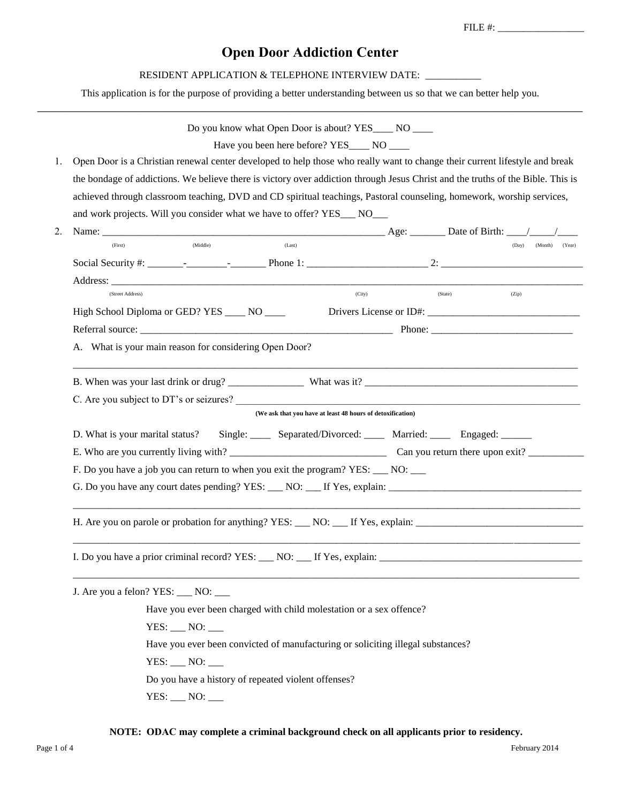FILE #: \_\_\_\_\_\_\_\_\_\_\_\_\_\_\_\_\_

# **Open Door Addiction Center**

## RESIDENT APPLICATION & TELEPHONE INTERVIEW DATE: \_\_\_\_\_\_\_\_\_\_

This application is for the purpose of providing a better understanding between us so that we can better help you. **——————————————————————————————————————————————————————**

|    | Do you know what Open Door is about? YES______ NO _____                                                                                                                                                                        |
|----|--------------------------------------------------------------------------------------------------------------------------------------------------------------------------------------------------------------------------------|
|    | Have you been here before? YES_____ NO _____                                                                                                                                                                                   |
| 1. | Open Door is a Christian renewal center developed to help those who really want to change their current lifestyle and break                                                                                                    |
|    | the bondage of addictions. We believe there is victory over addiction through Jesus Christ and the truths of the Bible. This is                                                                                                |
|    | achieved through classroom teaching, DVD and CD spiritual teachings, Pastoral counseling, homework, worship services,                                                                                                          |
|    | and work projects. Will you consider what we have to offer? YES___ NO___                                                                                                                                                       |
| 2. | Name: $\qquad \qquad \text{Page:} \qquad \qquad \text{Date of Birth:} \qquad \qquad \text{/}$                                                                                                                                  |
|    | (Last)<br>(Middle)<br>(First)<br>(Day)<br>(Month) (Year)                                                                                                                                                                       |
|    |                                                                                                                                                                                                                                |
|    |                                                                                                                                                                                                                                |
|    | (City)<br>(State)<br>(Zip)<br>(Street Address)                                                                                                                                                                                 |
|    | High School Diploma or GED? YES _____ NO ____                                                                                                                                                                                  |
|    |                                                                                                                                                                                                                                |
|    | A. What is your main reason for considering Open Door?                                                                                                                                                                         |
|    |                                                                                                                                                                                                                                |
|    |                                                                                                                                                                                                                                |
|    | C. Are you subject to DT's or seizures?                                                                                                                                                                                        |
|    | (We ask that you have at least 48 hours of detoxification)                                                                                                                                                                     |
|    | D. What is your marital status?<br>Single: _____ Separated/Divorced: _____ Married: _____ Engaged: ______                                                                                                                      |
|    |                                                                                                                                                                                                                                |
|    | F. Do you have a job you can return to when you exit the program? YES: ___ NO: __                                                                                                                                              |
|    | G. Do you have any court dates pending? YES: NO: If Yes, explain: Next response to the set of the set of the set of the set of the set of the set of the set of the set of the set of the set of the set of the set of the set |
|    |                                                                                                                                                                                                                                |
|    |                                                                                                                                                                                                                                |
|    |                                                                                                                                                                                                                                |
|    | I. Do you have a prior criminal record? YES: NO: If Yes, explain:                                                                                                                                                              |
|    |                                                                                                                                                                                                                                |
|    | J. Are you a felon? YES: ___ NO: __                                                                                                                                                                                            |
|    | Have you ever been charged with child molestation or a sex offence?                                                                                                                                                            |
|    | $YES: _ NO: _$                                                                                                                                                                                                                 |
|    | Have you ever been convicted of manufacturing or soliciting illegal substances?                                                                                                                                                |
|    | $YES: _1 NO: _1$                                                                                                                                                                                                               |
|    | Do you have a history of repeated violent offenses?                                                                                                                                                                            |
|    | $YES: _NO: _$                                                                                                                                                                                                                  |

## **NOTE: ODAC may complete a criminal background check on all applicants prior to residency.**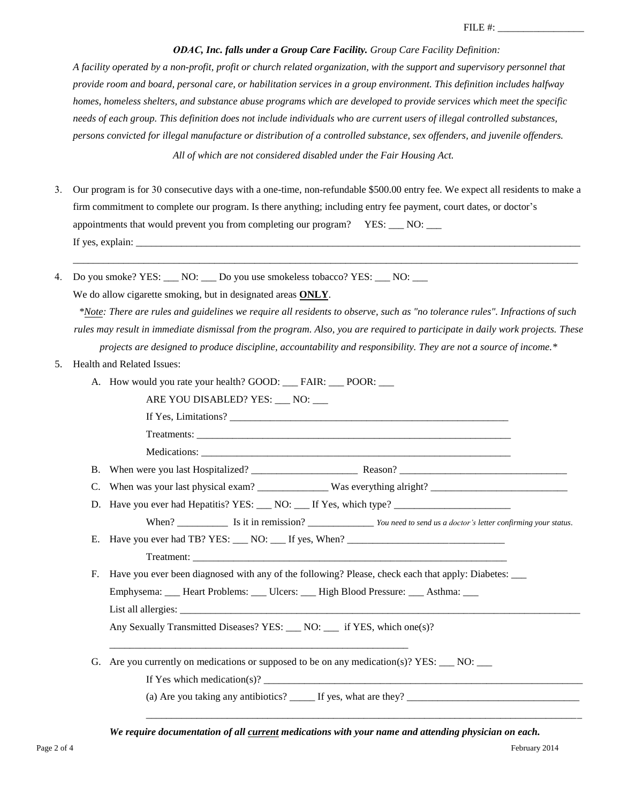#### *ODAC, Inc. falls under a Group Care Facility. Group Care Facility Definition:*

*A facility operated by a non-profit, profit or church related organization, with the support and supervisory personnel that provide room and board, personal care, or habilitation services in a group environment. This definition includes halfway homes, homeless shelters, and substance abuse programs which are developed to provide services which meet the specific needs of each group. This definition does not include individuals who are current users of illegal controlled substances, persons convicted for illegal manufacture or distribution of a controlled substance, sex offenders, and juvenile offenders.* 

*All of which are not considered disabled under the Fair Housing Act.*

3. Our program is for 30 consecutive days with a one-time, non-refundable \$500.00 entry fee. We expect all residents to make a firm commitment to complete our program. Is there anything; including entry fee payment, court dates, or doctor's appointments that would prevent you from completing our program? YES: \_\_ NO: \_\_ If yes, explain:  $\Box$ 

\_\_\_\_\_\_\_\_\_\_\_\_\_\_\_\_\_\_\_\_\_\_\_\_\_\_\_\_\_\_\_\_\_\_\_\_\_\_\_\_\_\_\_\_\_\_\_\_\_\_\_\_\_\_\_\_\_\_\_\_\_\_\_\_\_\_\_\_\_\_\_\_\_\_\_\_\_\_\_\_\_\_\_\_\_\_\_\_\_\_\_\_\_\_\_\_\_\_\_\_

4. Do you smoke? YES: \_\_\_ NO: \_\_\_ Do you use smokeless tobacco? YES: \_\_\_ NO: \_\_\_

We do allow cigarette smoking, but in designated areas **ONLY**.

Medications: \_\_\_\_\_\_\_\_\_\_\_\_\_\_\_\_\_\_\_\_\_\_\_\_\_\_\_\_\_\_\_\_\_\_\_\_\_\_\_\_\_\_\_\_\_\_\_\_\_\_\_\_\_\_\_\_\_\_\_\_\_

*\*Note: There are rules and guidelines we require all residents to observe, such as "no tolerance rules". Infractions of such rules may result in immediate dismissal from the program. Also, you are required to participate in daily work projects. These projects are designed to produce discipline, accountability and responsibility. They are not a source of income.\** 

- 5. Health and Related Issues:
	- A. How would you rate your health? GOOD: \_\_\_ FAIR: \_\_\_ POOR: \_\_\_
		- ARE YOU DISABLED? YES: \_\_\_ NO: \_\_\_

If Yes, Limitations?

Treatments: \_\_\_\_\_\_\_\_\_\_\_\_\_\_\_\_\_\_\_\_\_\_\_\_\_\_\_\_\_\_\_\_\_\_\_\_\_\_\_\_\_\_\_\_\_\_\_\_\_\_\_\_\_\_\_\_\_\_\_\_\_\_

B. When were you last Hospitalized? \_\_\_\_\_\_\_\_\_\_\_\_\_\_\_\_\_\_\_\_\_ Reason? \_\_\_\_\_\_\_\_\_\_\_\_\_\_\_\_\_\_\_\_\_\_\_\_\_\_\_\_\_\_\_\_\_

- C. When was your last physical exam? \_\_\_\_\_\_\_\_\_\_\_\_\_\_ Was everything alright? \_\_\_\_\_\_\_\_\_\_\_\_\_\_\_\_\_\_\_\_\_\_\_\_\_\_\_
- D. Have you ever had Hepatitis? YES: \_\_\_ NO: \_\_\_ If Yes, which type? \_\_\_\_\_\_\_\_\_\_\_

When? \_\_\_\_\_\_\_\_\_\_\_\_ Is it in remission? \_\_\_\_\_\_\_\_\_\_\_\_\_\_\_\_\_*You need to send us a doctor's letter confirming your status*.

E. Have you ever had TB? YES:  $\frac{1}{\sqrt{1-\frac{1}{2}}}$  MO:  $\frac{1}{\sqrt{1-\frac{1}{2}}}$  If yes, When? Treatment:

F. Have you ever been diagnosed with any of the following? Please, check each that apply: Diabetes: \_\_\_

Emphysema: Leart Problems: Lucers: Leart Blood Pressure: Learn Asthma: Learn

List all allergies:

Any Sexually Transmitted Diseases? YES: \_\_\_ NO: \_\_\_ if YES, which one(s)?

\_\_\_\_\_\_\_\_\_\_\_\_\_\_\_\_\_\_\_\_\_\_\_\_\_\_\_\_\_\_\_\_\_\_\_\_\_\_\_\_\_\_\_\_\_\_\_\_\_\_\_\_\_\_\_\_\_\_\_

G. Are you currently on medications or supposed to be on any medication(s)?  $YES:$   $\rule{1em}{0.15mm}$  NO:  $\rule{1em}{0.15mm}$ 

If Yes which medication(s)?  $\frac{1}{\sqrt{2}}$ 

(a) Are you taking any antibiotics?  $\frac{1}{\sqrt{1-\frac{1}{n}}}$  If yes, what are they?

*We require documentation of all current medications with your name and attending physician on each.* 

\_\_\_\_\_\_\_\_\_\_\_\_\_\_\_\_\_\_\_\_\_\_\_\_\_\_\_\_\_\_\_\_\_\_\_\_\_\_\_\_\_\_\_\_\_\_\_\_\_\_\_\_\_\_\_\_\_\_\_\_\_\_\_\_\_\_\_\_\_\_\_\_\_\_\_\_\_\_\_\_\_\_\_\_\_\_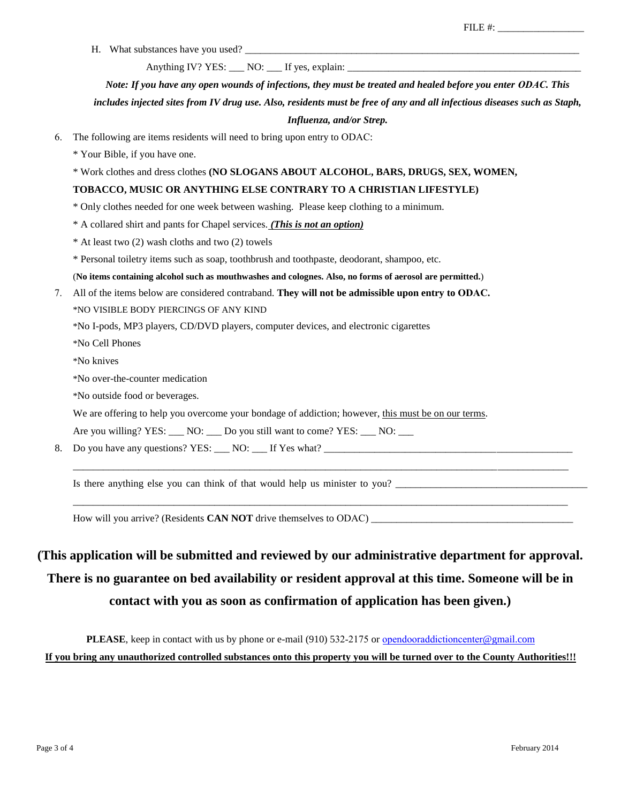H. What substances have you used?

Anything IV? YES: \_\_\_ NO: \_\_\_ If yes, explain: \_\_\_\_\_\_\_\_\_\_\_\_\_\_\_\_\_\_\_\_\_\_\_\_\_\_\_\_\_\_\_\_\_\_

*Note: If you have any open wounds of infections, they must be treated and healed before you enter ODAC. This* 

*includes injected sites from IV drug use. Also, residents must be free of any and all infectious diseases such as Staph, Influenza, and/or Strep.* 

- 6. The following are items residents will need to bring upon entry to ODAC:
	- \* Your Bible, if you have one.
	- \* Work clothes and dress clothes **(NO SLOGANS ABOUT ALCOHOL, BARS, DRUGS, SEX, WOMEN,**

### **TOBACCO, MUSIC OR ANYTHING ELSE CONTRARY TO A CHRISTIAN LIFESTYLE)**

- \* Only clothes needed for one week between washing. Please keep clothing to a minimum.
- \* A collared shirt and pants for Chapel services. *(This is not an option)*
- \* At least two (2) wash cloths and two (2) towels
- \* Personal toiletry items such as soap, toothbrush and toothpaste, deodorant, shampoo, etc.
- (**No items containing alcohol such as mouthwashes and colognes. Also, no forms of aerosol are permitted.**)
- 7. All of the items below are considered contraband. **They will not be admissible upon entry to ODAC.** \*NO VISIBLE BODY PIERCINGS OF ANY KIND
	- \*No I-pods, MP3 players, CD/DVD players, computer devices, and electronic cigarettes
	- \*No Cell Phones
	- \*No knives
	- \*No over-the-counter medication
	- \*No outside food or beverages.
	- We are offering to help you overcome your bondage of addiction; however, this must be on our terms.
	- Are you willing? YES: NO: Do you still want to come? YES: NO:
- 8. Do you have any questions? YES: NO: If Yes what?

Is there anything else you can think of that would help us minister to you?

How will you arrive? (Residents **CAN NOT** drive themselves to ODAC) \_\_\_\_\_\_\_\_\_\_\_\_\_\_\_\_\_\_\_\_\_\_\_\_\_\_\_\_\_\_\_\_\_\_\_\_\_\_\_\_

# **(This application will be submitted and reviewed by our administrative department for approval. There is no guarantee on bed availability or resident approval at this time. Someone will be in contact with you as soon as confirmation of application has been given.)**

 $\overline{\phantom{a}}$  , and the contribution of the contribution of the contribution of the contribution of the contribution of the contribution of the contribution of the contribution of the contribution of the contribution of the

 $\overline{\phantom{a}}$  , and the contribution of the contribution of the contribution of the contribution of the contribution of the contribution of the contribution of the contribution of the contribution of the contribution of the

**PLEASE**, keep in contact with us by phone or e-mail (910) 532-2175 or open[dooraddictioncenter](mailto:secarolinacrossroads@gmail.com)@gmail.com **If you bring any unauthorized controlled substances onto this property you will be turned over to the County Authorities!!!**